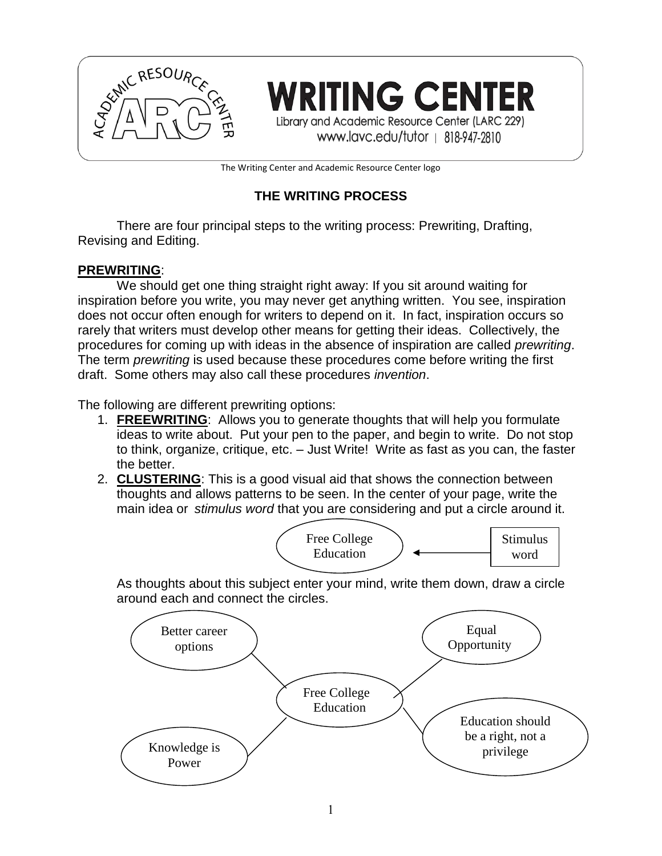

**RITING CENTER** Library and Academic Resource Center (LARC 229)

www.lavc.edu/tutor | 818-947-2810

The Writing Center and Academic Resource Center logo

# **THE WRITING PROCESS**

There are four principal steps to the writing process: Prewriting, Drafting, Revising and Editing.

### **PREWRITING**:

We should get one thing straight right away: If you sit around waiting for inspiration before you write, you may never get anything written. You see, inspiration does not occur often enough for writers to depend on it. In fact, inspiration occurs so rarely that writers must develop other means for getting their ideas. Collectively, the procedures for coming up with ideas in the absence of inspiration are called *prewriting*. The term *prewriting* is used because these procedures come before writing the first draft. Some others may also call these procedures *invention*.

The following are different prewriting options:

- 1. **FREEWRITING**: Allows you to generate thoughts that will help you formulate ideas to write about. Put your pen to the paper, and begin to write. Do not stop to think, organize, critique, etc. – Just Write! Write as fast as you can, the faster the better.
- 2. **CLUSTERING**: This is a good visual aid that shows the connection between thoughts and allows patterns to be seen. In the center of your page, write the main idea or *stimulus word* that you are considering and put a circle around it.



As thoughts about this subject enter your mind, write them down, draw a circle around each and connect the circles.

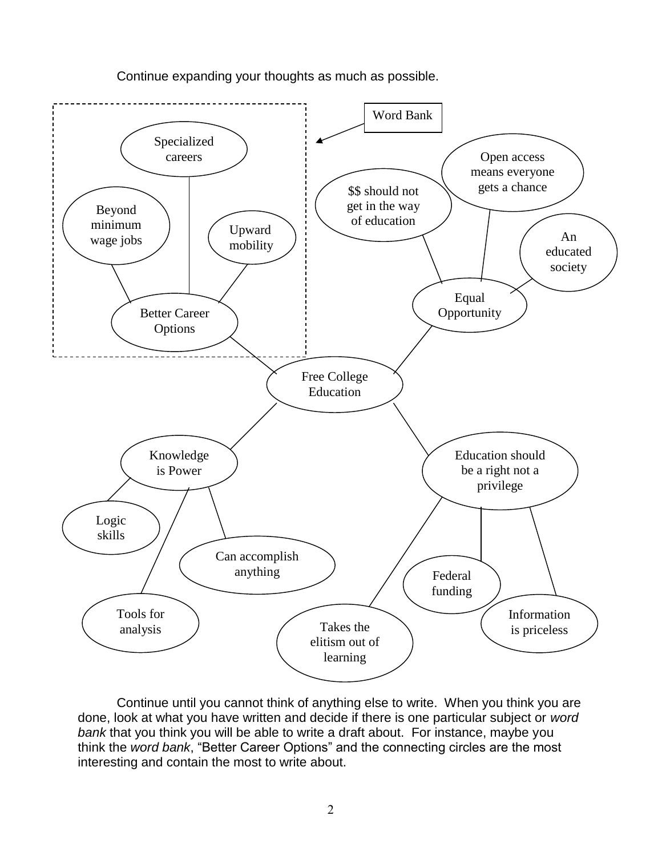

Continue expanding your thoughts as much as possible.

Continue until you cannot think of anything else to write. When you think you are done, look at what you have written and decide if there is one particular subject or *word bank* that you think you will be able to write a draft about. For instance, maybe you think the *word bank*, "Better Career Options" and the connecting circles are the most interesting and contain the most to write about.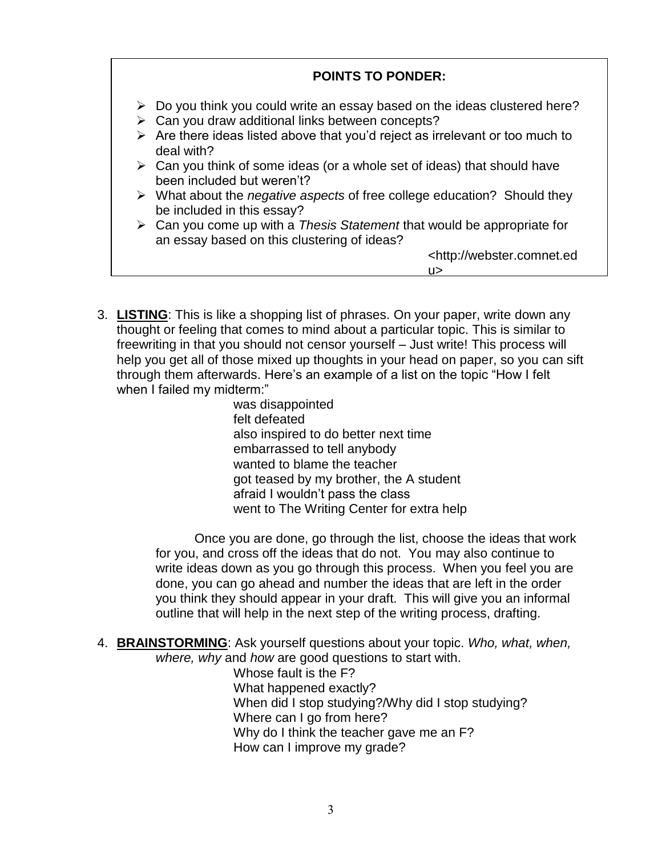

3. **LISTING**: This is like a shopping list of phrases. On your paper, write down any thought or feeling that comes to mind about a particular topic. This is similar to freewriting in that you should not censor yourself – Just write! This process will help you get all of those mixed up thoughts in your head on paper, so you can sift through them afterwards. Here's an example of a list on the topic "How I felt when I failed my midterm:"

was disappointed felt defeated also inspired to do better next time embarrassed to tell anybody wanted to blame the teacher got teased by my brother, the A student afraid I wouldn't pass the class went to The Writing Center for extra help

Once you are done, go through the list, choose the ideas that work for you, and cross off the ideas that do not. You may also continue to write ideas down as you go through this process. When you feel you are done, you can go ahead and number the ideas that are left in the order you think they should appear in your draft. This will give you an informal outline that will help in the next step of the writing process, drafting.

4. **BRAINSTORMING**: Ask yourself questions about your topic. *Who, what, when, where, why* and *how* are good questions to start with.

Whose fault is the F? What happened exactly? When did I stop studying?/Why did I stop studying? Where can I go from here? Why do I think the teacher gave me an F? How can I improve my grade?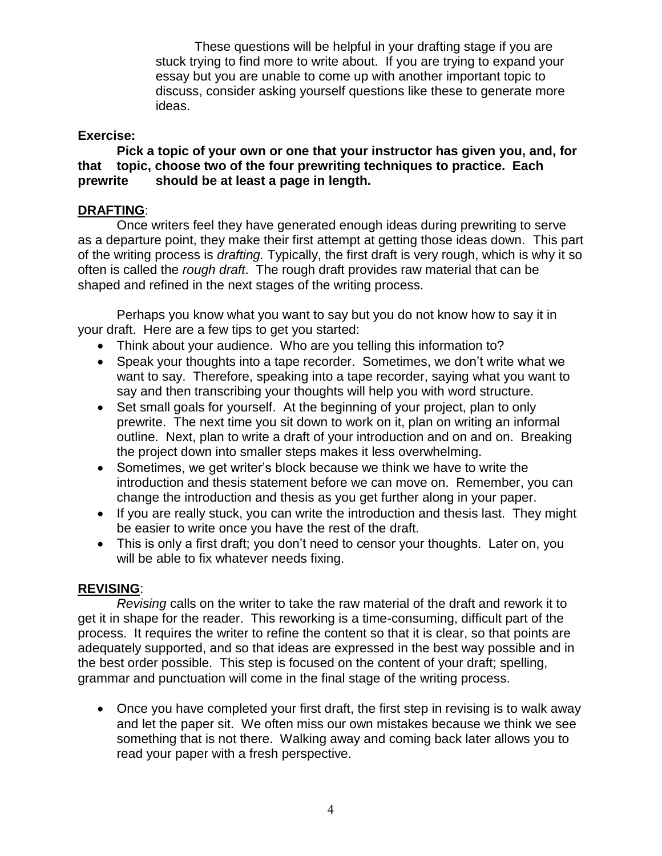These questions will be helpful in your drafting stage if you are stuck trying to find more to write about. If you are trying to expand your essay but you are unable to come up with another important topic to discuss, consider asking yourself questions like these to generate more ideas.

### **Exercise:**

**Pick a topic of your own or one that your instructor has given you, and, for that topic, choose two of the four prewriting techniques to practice. Each prewrite should be at least a page in length.**

### **DRAFTING**:

Once writers feel they have generated enough ideas during prewriting to serve as a departure point, they make their first attempt at getting those ideas down. This part of the writing process is *drafting.* Typically, the first draft is very rough, which is why it so often is called the *rough draft*. The rough draft provides raw material that can be shaped and refined in the next stages of the writing process.

Perhaps you know what you want to say but you do not know how to say it in your draft. Here are a few tips to get you started:

- Think about your audience. Who are you telling this information to?
- Speak your thoughts into a tape recorder. Sometimes, we don't write what we want to say. Therefore, speaking into a tape recorder, saying what you want to say and then transcribing your thoughts will help you with word structure.
- Set small goals for yourself. At the beginning of your project, plan to only prewrite. The next time you sit down to work on it, plan on writing an informal outline. Next, plan to write a draft of your introduction and on and on. Breaking the project down into smaller steps makes it less overwhelming.
- Sometimes, we get writer's block because we think we have to write the introduction and thesis statement before we can move on. Remember, you can change the introduction and thesis as you get further along in your paper.
- If you are really stuck, you can write the introduction and thesis last. They might be easier to write once you have the rest of the draft.
- This is only a first draft; you don't need to censor your thoughts. Later on, you will be able to fix whatever needs fixing.

#### **REVISING**:

*Revising* calls on the writer to take the raw material of the draft and rework it to get it in shape for the reader. This reworking is a time-consuming, difficult part of the process. It requires the writer to refine the content so that it is clear, so that points are adequately supported, and so that ideas are expressed in the best way possible and in the best order possible. This step is focused on the content of your draft; spelling, grammar and punctuation will come in the final stage of the writing process.

• Once you have completed your first draft, the first step in revising is to walk away and let the paper sit. We often miss our own mistakes because we think we see something that is not there. Walking away and coming back later allows you to read your paper with a fresh perspective.